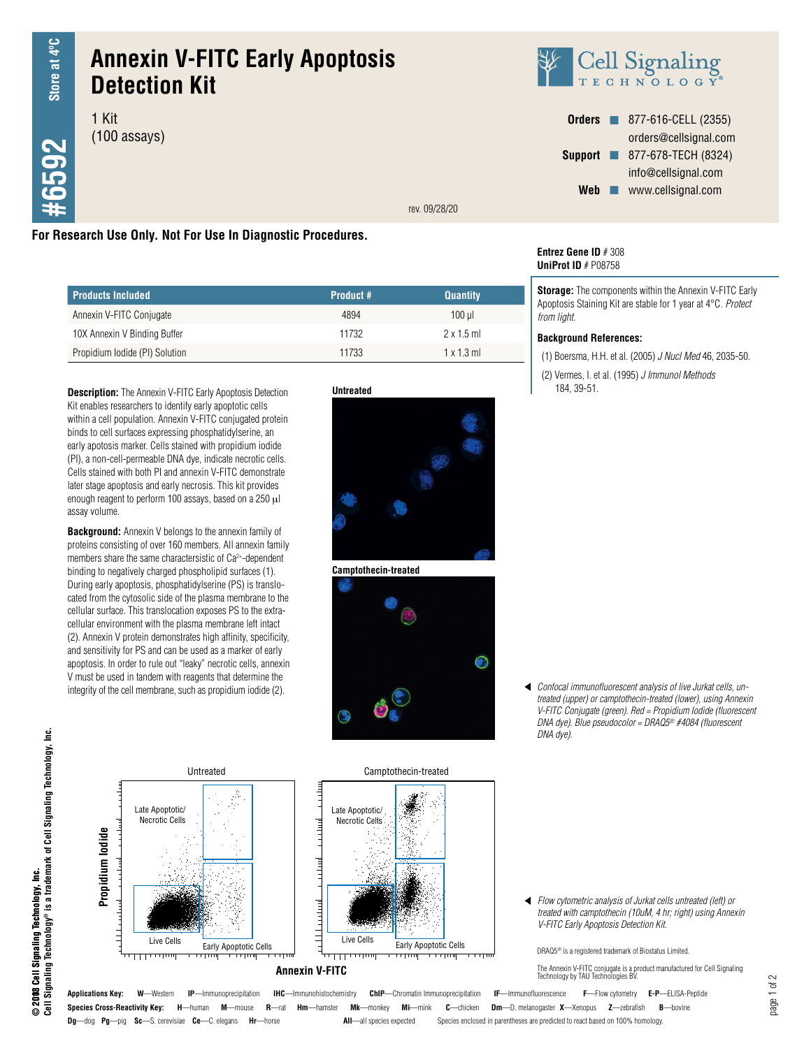**26593** 

# **Annexin V-FITC Early Apoptosis Detection Kit**

1 Kit (100 assays)



| <b>Orders</b>  | 877-616-CELL (2355)   |
|----------------|-----------------------|
|                | orders@cellsignal.com |
| <b>Support</b> | 877-678-TECH (8324)   |
|                | info@cellsignal.com   |
| Web            | www.cellsignal.com    |

rev. 09/28/20

## **For Research Use Only. Not For Use In Diagnostic Procedures.**

| <b>Products Included</b>       | <b>Product #</b> | <b>Quantity</b>  |
|--------------------------------|------------------|------------------|
| Annexin V-FITC Conjugate       | 4894             | 100 ul           |
| 10X Annexin V Binding Buffer   | 11732            | 2x15m            |
| Propidium Iodide (PI) Solution | 11733            | $1 \times 13$ ml |

**Description:** The Annexin V-FITC Early Apoptosis Detection Kit enables researchers to identify early apoptotic cells within a cell population. Annexin V-FITC conjugated protein binds to cell surfaces expressing phosphatidylserine, an early apotosis marker. Cells stained with propidium iodide (PI), a non-cell-permeable DNA dye, indicate necrotic cells. Cells stained with both PI and annexin V-FITC demonstrate later stage apoptosis and early necrosis. This kit provides enough reagent to perform 100 assays, based on a 250 μl assay volume.

**Background:** Annexin V belongs to the annexin family of proteins consisting of over 160 members. All annexin family members share the same charactersistic of Ca2+-dependent binding to negatively charged phospholipid surfaces (1). During early apoptosis, phosphatidylserine (PS) is translocated from the cytosolic side of the plasma membrane to the cellular surface. This translocation exposes PS to the extracellular environment with the plasma membrane left intact (2). Annexin V protein demonstrates high affinity, specificity, and sensitivity for PS and can be used as a marker of early apoptosis. In order to rule out "leaky" necrotic cells, annexin V must be used in tandem with reagents that determine the integrity of the cell membrane, such as propidium iodide (2).







#### **Entrez Gene ID** # 308 **UniProt ID** # P08758

**Storage:** The components within the Annexin V-FITC Early Apoptosis Staining Kit are stable for 1 year at 4°C. *Protect from light.* 

#### **Background References:**

(1) Boersma, H.H. et al. (2005) *J Nucl Med* 46, 2035-50.

(2) Vermes, I. et al. (1995) *J Immunol Methods* 184, 39-51.

*Confocal immunofluorescent analysis of live Jurkat cells, untreated (upper) or camptothecin-treated (lower), using Annexin V-FITC Conjugate (green). Red = Propidium Iodide (fluorescent DNA dye). Blue pseudocolor = DRAQ5® #4084 (fluorescent DNA dye).*



**Dg**—dog **Pg**—pig **Sc**—S. cerevisiae **Ce**—C. elegans **Hr**—horse **All**—all species expected Species enclosed in parentheses are predicted to react based on 100% homology.

*Flow cytometric analysis of Jurkat cells untreated (left) or treated with camptothecin (10uM, 4 hr; right) using Annexin V-FITC Early Apoptosis Detection Kit.*

DRAQ5® is a registered trademark of Biostatus Limited.

The Annexin V-FITC conjugate is a product manufactured for Cell Signaling Technology by TAU Technologies BV.